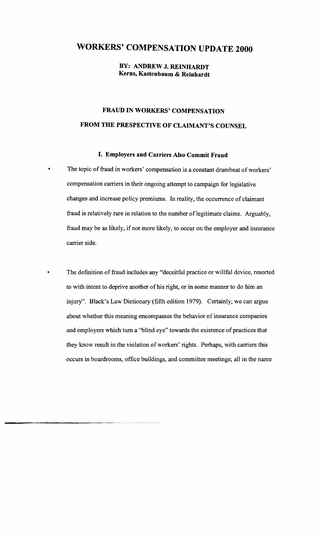# **WORKERS' COMPENSATION UPDATE 2000**

**BY: ANDREW J. REINHARDT Kerns, Kastenbaum & Reinhardt** 

# **FRAUD IN WORKERS' COMPENSATION FROM THE PRESPECTIVE OF CLAIMANT'S COUNSEL**

### **I. Employers and Carriers Also Commit Fraud**

The topic of fraud in workers' compensation is a constant drumbeat of workers' compensation carriers in their ongoing attempt to campaign for legislative changes and increase policy premiums. In reality, the occurrence of claimant fraud is relatively rare in relation to the number of legitimate claims. Arguably, fraud may be as likely, if not more likely, to occur on the employer and insurance carrier side.

The definition of fraud includes any "deceitful practice or willful device, resorted to with intent to deprive another of his right, or in some manner to do him an injury". Black's Law Dictionary (fifth edition 1979). Certainly, we can argue about whether this meaning encompasses the behavior of insurance companies and employers which turn a "blind eye" towards the existence of practices that they know result in the violation of workers' rights. Perhaps, with carriers this occurs in boardrooms, office buildings, and committee meetings; all in the name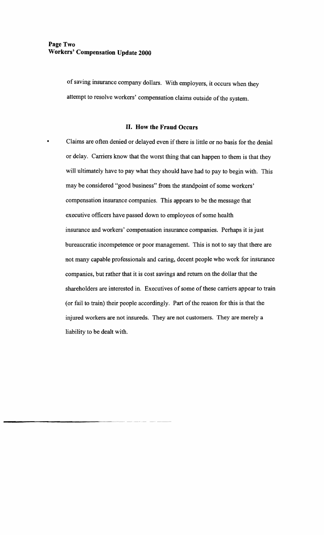of saving insurance company dollars. With employers, it occurs when they attempt to resolve workers' compensation claims outside of the system.

#### **II. How the Fraud Occurs**

• Claims are often denied or delayed even if there is little or no basis for the denial or delay. Carriers know that the worst thing that can happen to them is that they will ultimately have to pay what they should have had to pay to begin with. This may be considered "good business" from the standpoint of some workers' compensation insurance companies. This appears to be the message that executive officers have passed down to employees of some health insurance and workers' compensation insurance companies. Perhaps it is just bureaucratic incompetence or poor management. This is not to say that there are not many capable professionals and caring, decent people who work for insurance companies, but rather that it is cost savings and return on the dollar that the shareholders are interested in. Executives of some of these carriers appear to train (or fail to train) their people accordingly. Part of the reason for this is that the injured workers are not insureds. They are not customers. They are merely a liability to be dealt with.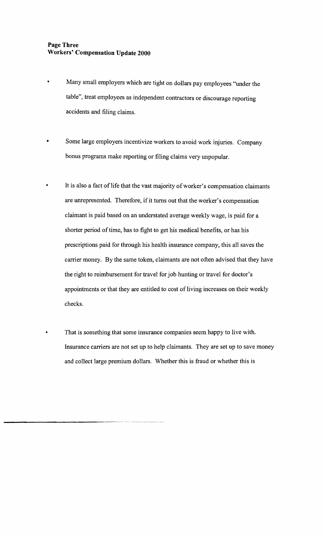## **Page Three Workers' Compensation Update 2000**

- Many small employers which are tight on dollars pay employees "under the table", treat employees as independent contractors or discourage reporting accidents and filing claims.
- Some large employers incentivize workers to avoid work injuries. Company bonus programs make reporting or filing claims very unpopular.
- It is also a fact of life that the vast majority of worker's compensation claimants are unrepresented. Therefore, if it turns out that the worker's compensation claimant is paid based on an understated average weekly wage, is paid for a shorter period of time, has to fight to get his medical benefits, or has his prescriptions paid for through his health insurance company, this all saves the carrier money. By the same token, claimants are not often advised that they have the right to reimbursement for travel for job hunting or travel for doctor's appointments or that they are entitled to cost of living increases on their weekly checks.
	- That is something that some insurance companies seem happy to live with. Insurance carriers are not set up to help claimants. They are set up to save money and collect large premium dollars. Whether this is fraud or whether this is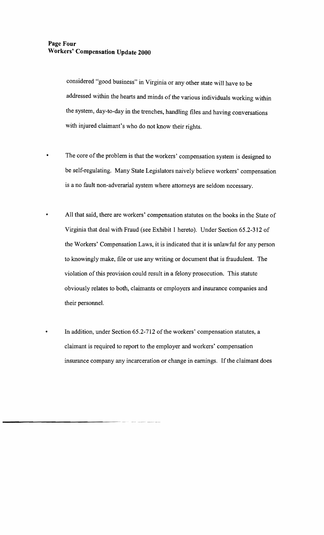considered "good business" in Virginia or any other state will have to be addressed within the hearts and minds of the various individuals working within the system, day-to-day in the trenches, handling files and having conversations with injured claimant's who do not know their rights.

- The core of the problem is that the workers' compensation system is designed to be self-regulating. Many State Legislators naively believe workers' compensation is a no fault non-adverarial system where attorneys are seldom necessary.
	- All that said, there are workers' compensation statutes on the books in the State of Virginia that deal with Fraud (see Exhibit I hereto). Under Section 65.2-312 of the Workers' Compensation Laws, it is indicated that it is unlawful for any person to knowingly make, file or use any writing or document that is fraudulent. The violation of this provision could result in a felony prosecution. This statute obviously relates to both, claimants or employers and insurance companies and their personnel.
- In addition, under Section 65.2-712 of the workers' compensation statutes, a claimant is required to report to the employer and workers' compensation insurance company any incarceration or change in earnings. If the claimant does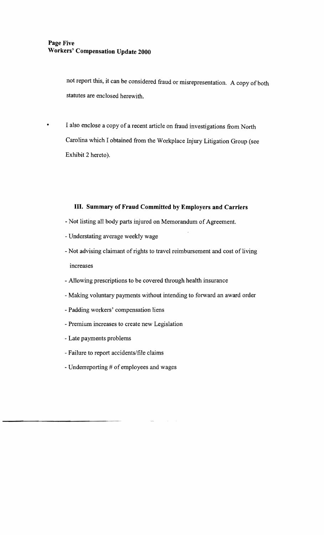not report this, it can be considered fraud or misrepresentation. A copy of both statutes are enclosed herewith.

• I also enclose a copy of a recent article on fraud investigations from North Carolina which I obtained from the Workplace Injury Litigation Group (see Exhibit 2 hereto).

# **III. Summary of Fraud Committed by Employers and Carriers**

- Not listing all body parts injured on Memorandum of Agreement.
- Understating average weekly wage
- Not advising claimant of rights to travel reimbursement and cost of living increases
- Allowing prescriptions to be covered through health insurance
- Making voluntary payments without intending to forward an award order
- Padding workers' compensation liens
- Premium increases to create new Legislation
- Late payments problems
- Failure to report accidents/file claims
- Underreporting # of employees and wages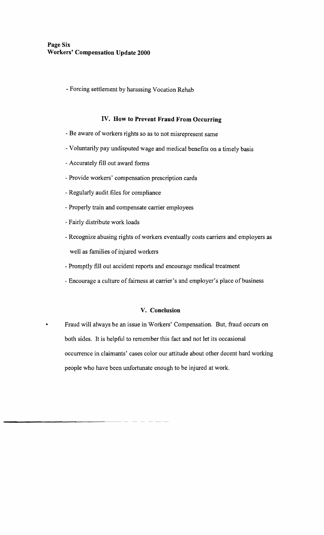- Forcing settlement by harassing Vocation Rehab

# **IV. How to Prevent Fraud From Occurring**

- Be aware of workers rights so as to not misrepresent same
- Voluntarily pay undisputed wage and medical benefits on a timely basis
- Accurately fill out award forms
- Provide workers' compensation prescription cards
- Regularly audit files for compliance
- Properly train and compensate carrier employees
- Fairly distribute work loads
- Recognize abusing rights of workers eventually costs carriers and employers as well as families of injured workers
- Promptly fill out accident reports and encourage medical treatment
- Encourage a culture of fairness at carrier's and employer's place of business

#### **V. Conclusion**

• Fraud will always be an issue in Workers' Compensation. But, fraud occurs on both sides. It is helpful to remember this fact and not let its occasional occurrence in claimants' cases color our attitude about other decent hard working people who have been unfortunate enough to be injured at work.